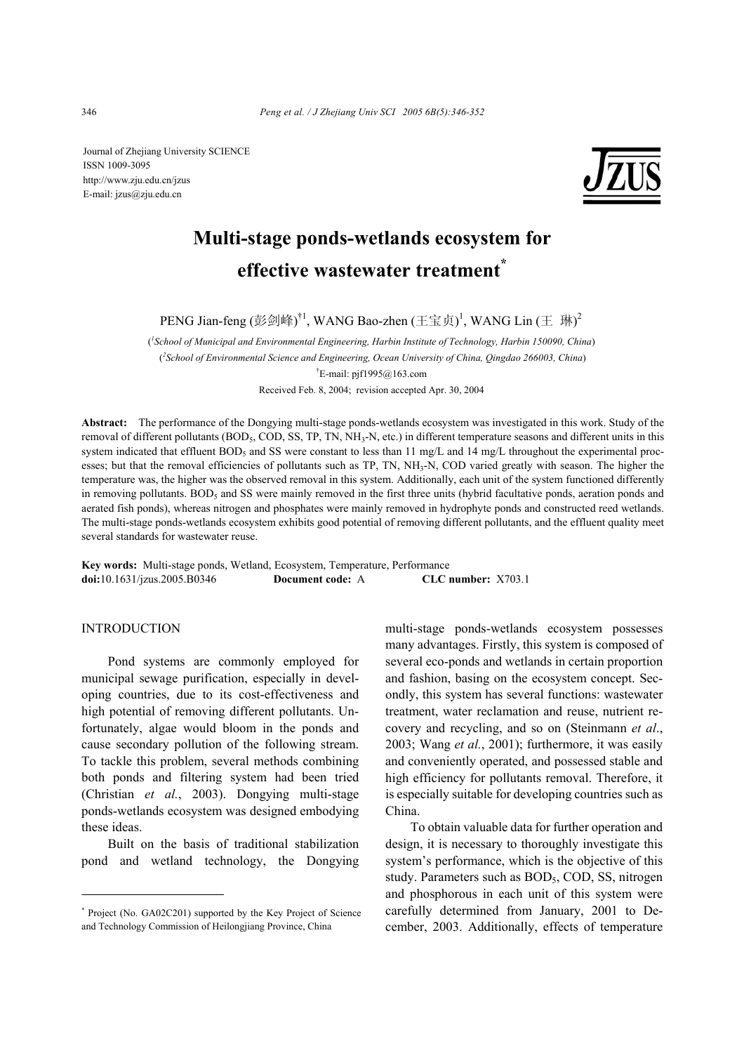Journal of Zhejiang University SCIENCE ISSN 1009-3095 http://www.zju.edu.cn/jzus E-mail: jzus@zju.edu.cn



# **Multi-stage ponds-wetlands ecosystem for effective wastewater treatment\***

PENG Jian-feng (彭剑峰)<sup>†1</sup>, WANG Bao-zhen (王宝贞)<sup>1</sup>, WANG Lin (王 琳)<sup>2</sup>

( *1 School of Municipal and Environmental Engineering, Harbin Institute of Technology, Harbin 150090, China*) (*2 School of Environmental Science and Engineering, Ocean University of China, Qingdao 266003, China*) † E-mail: pjf1995@163.com Received Feb. 8, 2004; revision accepted Apr. 30, 2004

**Abstract:** The performance of the Dongying multi-stage ponds-wetlands ecosystem was investigated in this work. Study of the removal of different pollutants (BOD<sub>5</sub>, COD, SS, TP, TN, NH<sub>3</sub>-N, etc.) in different temperature seasons and different units in this system indicated that effluent  $BOD_5$  and SS were constant to less than 11 mg/L and 14 mg/L throughout the experimental processes; but that the removal efficiencies of pollutants such as TP, TN, NH<sub>3</sub>-N, COD varied greatly with season. The higher the temperature was, the higher was the observed removal in this system. Additionally, each unit of the system functioned differently in removing pollutants. BOD<sub>5</sub> and SS were mainly removed in the first three units (hybrid facultative ponds, aeration ponds and aerated fish ponds), whereas nitrogen and phosphates were mainly removed in hydrophyte ponds and constructed reed wetlands. The multi-stage ponds-wetlands ecosystem exhibits good potential of removing different pollutants, and the effluent quality meet several standards for wastewater reuse.

**Key words:** Multi-stage ponds, Wetland, Ecosystem, Temperature, Performance **doi:**10.1631/jzus.2005.B0346 **Document code:** A **CLC number:** X703.1

## INTRODUCTION

Pond systems are commonly employed for municipal sewage purification, especially in developing countries, due to its cost-effectiveness and high potential of removing different pollutants. Unfortunately, algae would bloom in the ponds and cause secondary pollution of the following stream. To tackle this problem, several methods combining both ponds and filtering system had been tried (Christian *et al.*, 2003). Dongying multi-stage ponds-wetlands ecosystem was designed embodying these ideas.

Built on the basis of traditional stabilization pond and wetland technology, the Dongying

multi-stage ponds-wetlands ecosystem possesses many advantages. Firstly, this system is composed of several eco-ponds and wetlands in certain proportion and fashion, basing on the ecosystem concept. Secondly, this system has several functions: wastewater treatment, water reclamation and reuse, nutrient recovery and recycling, and so on (Steinmann *et al*., 2003; Wang *et al.*, 2001); furthermore, it was easily and conveniently operated, and possessed stable and high efficiency for pollutants removal. Therefore, it is especially suitable for developing countries such as China.

To obtain valuable data for further operation and design, it is necessary to thoroughly investigate this system's performance, which is the objective of this study. Parameters such as BOD<sub>5</sub>, COD, SS, nitrogen and phosphorous in each unit of this system were carefully determined from January, 2001 to December, 2003. Additionally, effects of temperature

<sup>\*</sup> Project (No. GA02C201) supported by the Key Project of Science and Technology Commission of Heilongjiang Province, China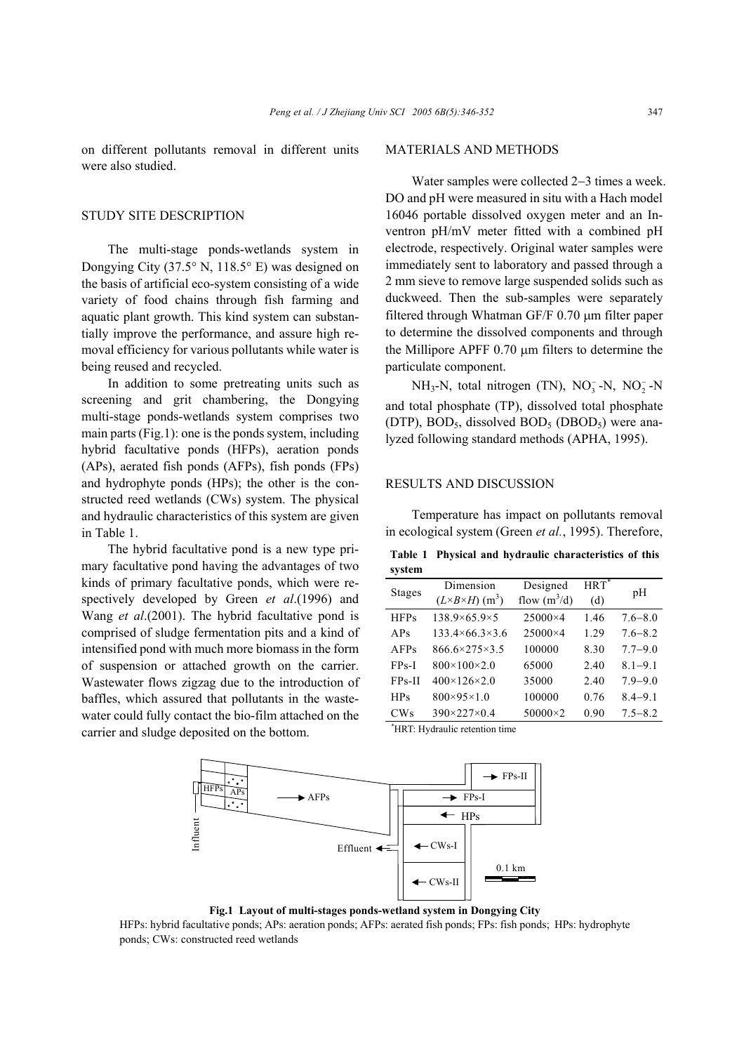on different pollutants removal in different units were also studied.

## STUDY SITE DESCRIPTION

The multi-stage ponds-wetlands system in Dongying City (37.5° N, 118.5° E) was designed on the basis of artificial eco-system consisting of a wide variety of food chains through fish farming and aquatic plant growth. This kind system can substantially improve the performance, and assure high removal efficiency for various pollutants while water is being reused and recycled.

In addition to some pretreating units such as screening and grit chambering, the Dongying multi-stage ponds-wetlands system comprises two main parts (Fig.1): one is the ponds system, including hybrid facultative ponds (HFPs), aeration ponds (APs), aerated fish ponds (AFPs), fish ponds (FPs) and hydrophyte ponds (HPs); the other is the constructed reed wetlands (CWs) system. The physical and hydraulic characteristics of this system are given in Table 1.

The hybrid facultative pond is a new type primary facultative pond having the advantages of two kinds of primary facultative ponds, which were respectively developed by Green *et al*.(1996) and Wang *et al*.(2001). The hybrid facultative pond is comprised of sludge fermentation pits and a kind of intensified pond with much more biomass in the form of suspension or attached growth on the carrier. Wastewater flows zigzag due to the introduction of baffles, which assured that pollutants in the wastewater could fully contact the bio-film attached on the carrier and sludge deposited on the bottom.

## MATERIALS AND METHODS

Water samples were collected 2−3 times a week. DO and pH were measured in situ with a Hach model 16046 portable dissolved oxygen meter and an Inventron pH/mV meter fitted with a combined pH electrode, respectively. Original water samples were immediately sent to laboratory and passed through a 2 mm sieve to remove large suspended solids such as duckweed. Then the sub-samples were separately filtered through Whatman GF/F 0.70 µm filter paper to determine the dissolved components and through the Millipore APFF 0.70 µm filters to determine the particulate component.

 $NH_3-N$ , total nitrogen (TN),  $NO_3^- - N$ ,  $NO_2^- - N$ and total phosphate (TP), dissolved total phosphate (DTP),  $BOD_5$ , dissolved  $BOD_5$  (DBOD<sub>5</sub>) were analyzed following standard methods (APHA, 1995).

## RESULTS AND DISCUSSION

Temperature has impact on pollutants removal in ecological system (Green *et al.*, 1995). Therefore,

**Table 1 Physical and hydraulic characteristics of this system** 

| <b>Stages</b> | Dimension                                 | Designed       | $HRT^*$ | pH          |
|---------------|-------------------------------------------|----------------|---------|-------------|
|               | $(L \times B \times H)$ (m <sup>3</sup> ) | flow $(m^3/d)$ | (d)     |             |
| <b>HFPs</b>   | $138.9\times 65.9\times 5$                | 25000×4        | 1.46    | $7.6 - 8.0$ |
| APs           | $133.4\times 66.3\times 3.6$              | 25000×4        | 1.29    | $7.6 - 8.2$ |
| AFPs          | $866.6 \times 275 \times 3.5$             | 100000         | 8.30    | $7.7 - 9.0$ |
| $FPs-I$       | $800 \times 100 \times 2.0$               | 65000          | 2.40    | $8.1 - 9.1$ |
| FPs-II        | 400×126×2.0                               | 35000          | 2.40    | $7.9 - 9.0$ |
| <b>HPs</b>    | $800\times95\times1.0$                    | 100000         | 0.76    | $8.4 - 9.1$ |
| CWs           | $390 \times 227 \times 0.4$               | 50000×2        | 0.90    | $7.5 - 8.2$ |

\* HRT: Hydraulic retention time



**Fig.1 Layout of multi-stages ponds-wetland system in Dongying City** 

HFPs: hybrid facultative ponds; APs: aeration ponds; AFPs: aerated fish ponds; FPs: fish ponds; HPs: hydrophyte ponds; CWs: constructed reed wetlands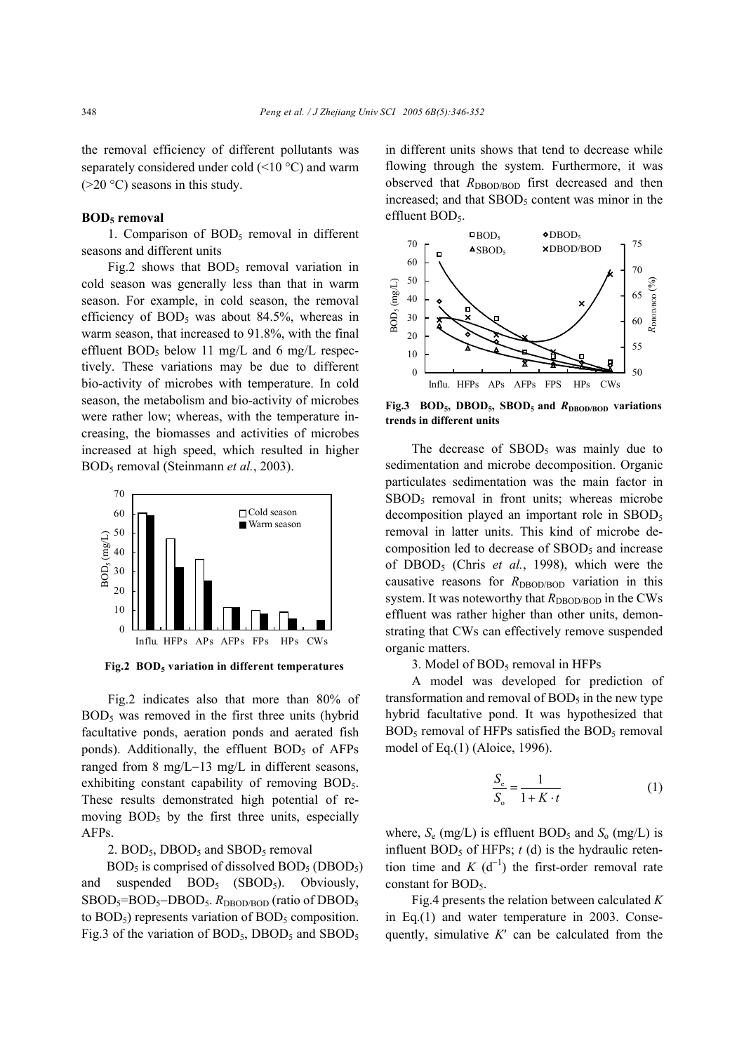the removal efficiency of different pollutants was separately considered under cold (<10 °C) and warm  $(>20 °C)$  seasons in this study.

## **BOD5 removal**

1. Comparison of  $BOD<sub>5</sub>$  removal in different seasons and different units

Fig.2 shows that  $BOD<sub>5</sub>$  removal variation in cold season was generally less than that in warm season. For example, in cold season, the removal efficiency of  $BOD_5$  was about 84.5%, whereas in warm season, that increased to 91.8%, with the final effluent BOD<sub>5</sub> below 11 mg/L and 6 mg/L respectively. These variations may be due to different bio-activity of microbes with temperature. In cold season, the metabolism and bio-activity of microbes were rather low; whereas, with the temperature increasing, the biomasses and activities of microbes increased at high speed, which resulted in higher BOD5 removal (Steinmann *et al.*, 2003).



**Fig.2 BOD5 variation in different temperatures**

Fig.2 indicates also that more than 80% of  $BOD<sub>5</sub>$  was removed in the first three units (hybrid facultative ponds, aeration ponds and aerated fish ponds). Additionally, the effluent  $BOD<sub>5</sub>$  of AFPs ranged from 8 mg/L−13 mg/L in different seasons, exhibiting constant capability of removing BOD<sub>5</sub>. These results demonstrated high potential of removing  $BOD<sub>5</sub>$  by the first three units, especially AFPs.

2.  $BOD<sub>5</sub>$ , DBOD<sub>5</sub> and SBOD<sub>5</sub> removal

 $BOD<sub>5</sub>$  is comprised of dissolved  $BOD<sub>5</sub>$  (DBOD<sub>5</sub>) and suspended  $BOD_5$  (SBOD<sub>5</sub>). Obviously, SBOD<sub>5</sub>=BOD<sub>5</sub>−DBOD<sub>5</sub>. *R*<sub>DBOD/BOD</sub> (ratio of DBOD<sub>5</sub> to  $BOD<sub>5</sub>$ ) represents variation of  $BOD<sub>5</sub>$  composition. Fig.3 of the variation of  $BOD_5$ ,  $DBOD_5$  and  $SBOD_5$ 

in different units shows that tend to decrease while flowing through the system. Furthermore, it was observed that *R*<sub>DBOD/BOD</sub> first decreased and then increased; and that  $\text{SBOD}_5$  content was minor in the effluent BOD<sub>5</sub>.



Fig.3 BOD<sub>5</sub>, DBOD<sub>5</sub>, SBOD<sub>5</sub> and *R*<sub>DBOD/BOD</sub> variations **trends in different units** 

The decrease of  $SBOD<sub>5</sub>$  was mainly due to sedimentation and microbe decomposition. Organic particulates sedimentation was the main factor in  $SBOD<sub>5</sub>$  removal in front units; whereas microbe decomposition played an important role in  $\text{SBOD}_5$ removal in latter units. This kind of microbe decomposition led to decrease of  $SBOD<sub>5</sub>$  and increase of DBOD5 (Chris *et al.*, 1998), which were the causative reasons for *R*<sub>DBOD/BOD</sub> variation in this system. It was noteworthy that  $R<sub>DBOD/BOD</sub>$  in the CWs effluent was rather higher than other units, demonstrating that CWs can effectively remove suspended organic matters.

3. Model of  $BOD<sub>5</sub>$  removal in HFPs

A model was developed for prediction of transformation and removal of  $BOD<sub>5</sub>$  in the new type hybrid facultative pond. It was hypothesized that  $BOD<sub>5</sub>$  removal of HFPs satisfied the  $BOD<sub>5</sub>$  removal model of Eq.(1) (Aloice, 1996).

$$
\frac{S_e}{S_o} = \frac{1}{1 + K \cdot t} \tag{1}
$$

where,  $S_e$  (mg/L) is effluent BOD<sub>5</sub> and  $S_o$  (mg/L) is influent  $BOD_5$  of HFPs;  $t$  (d) is the hydraulic retention time and  $K$  (d<sup>-1</sup>) the first-order removal rate constant for BOD<sub>5</sub>.

Fig.4 presents the relation between calculated *K* in Eq.(1) and water temperature in 2003. Consequently, simulative *K*′ can be calculated from the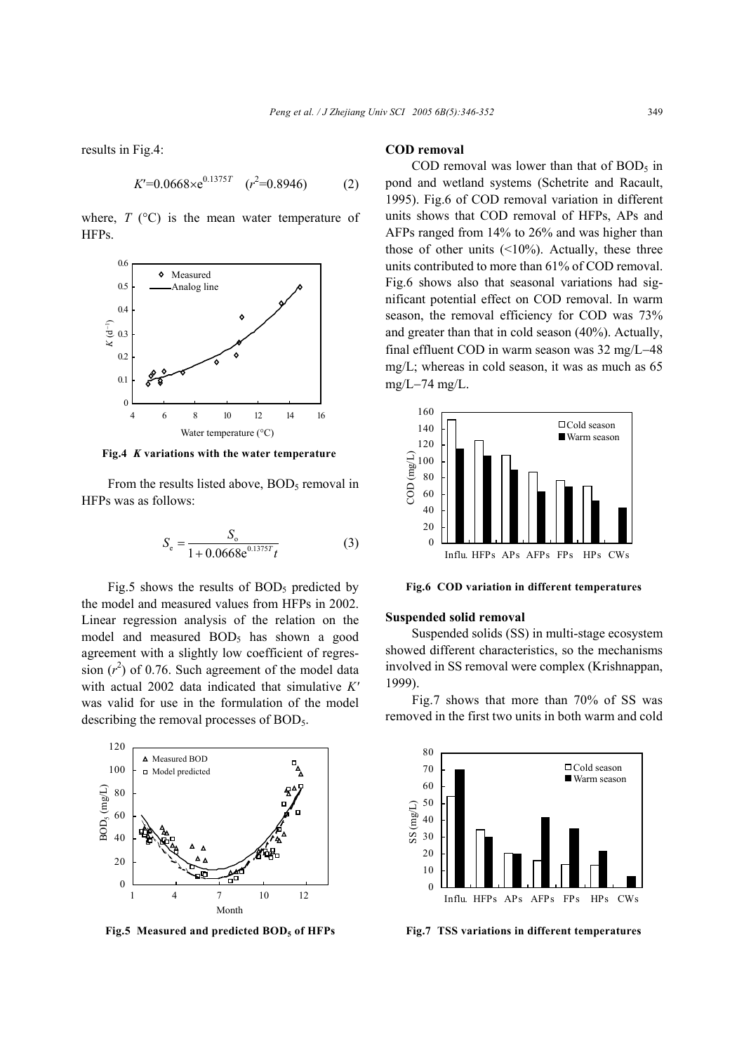results in Fig.4:

$$
K'=0.0668 \times e^{0.1375T} \quad (r^2=0.8946) \tag{2}
$$

where,  $T$  ( $^{\circ}$ C) is the mean water temperature of HFPs.



**Fig.4** *K* **variations with the water temperature** 

From the results listed above,  $BOD<sub>5</sub>$  removal in HFPs was as follows:

$$
S_e = \frac{S_o}{1 + 0.0668 \mathrm{e}^{0.1375T} t}
$$
 (3)

Fig.5 shows the results of  $BOD<sub>5</sub>$  predicted by the model and measured values from HFPs in 2002. Linear regression analysis of the relation on the model and measured  $BOD<sub>5</sub>$  has shown a good agreement with a slightly low coefficient of regression  $(r^2)$  of 0.76. Such agreement of the model data with actual 2002 data indicated that simulative *K′* was valid for use in the formulation of the model describing the removal processes of  $BOD<sub>5</sub>$ .



**Fig.5 Measured and predicted BOD5 of HFPs** 

## **COD removal**

COD removal was lower than that of  $BOD<sub>5</sub>$  in pond and wetland systems (Schetrite and Racault, 1995). Fig.6 of COD removal variation in different units shows that COD removal of HFPs, APs and AFPs ranged from 14% to 26% and was higher than those of other units  $(\leq 10\%)$ . Actually, these three units contributed to more than 61% of COD removal. Fig.6 shows also that seasonal variations had significant potential effect on COD removal. In warm season, the removal efficiency for COD was 73% and greater than that in cold season (40%). Actually, final effluent COD in warm season was 32 mg/L−48 mg/L; whereas in cold season, it was as much as 65 mg/L−74 mg/L.



**Fig.6 COD variation in different temperatures** 

#### **Suspended solid removal**

Suspended solids (SS) in multi-stage ecosystem showed different characteristics, so the mechanisms involved in SS removal were complex (Krishnappan, 1999).

Fig.7 shows that more than 70% of SS was removed in the first two units in both warm and cold



**Fig.7 TSS variations in different temperatures**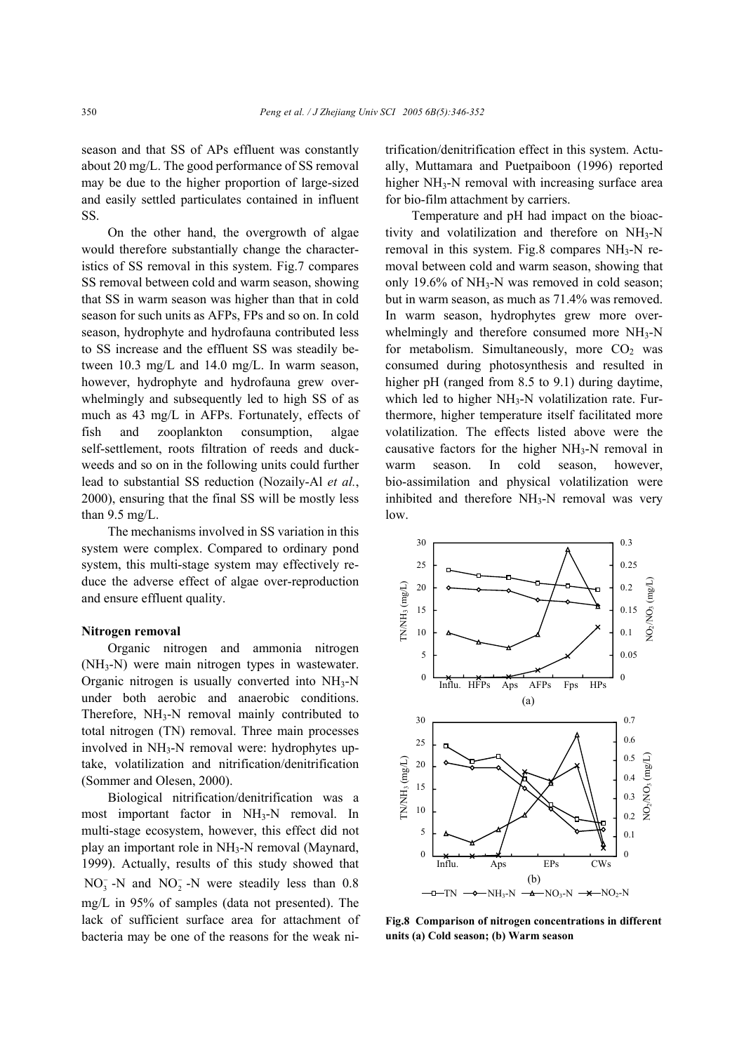season and that SS of APs effluent was constantly about 20 mg/L. The good performance of SS removal may be due to the higher proportion of large-sized and easily settled particulates contained in influent SS.

On the other hand, the overgrowth of algae would therefore substantially change the characteristics of SS removal in this system. Fig.7 compares SS removal between cold and warm season, showing that SS in warm season was higher than that in cold season for such units as AFPs, FPs and so on. In cold season, hydrophyte and hydrofauna contributed less to SS increase and the effluent SS was steadily between 10.3 mg/L and 14.0 mg/L. In warm season, however, hydrophyte and hydrofauna grew overwhelmingly and subsequently led to high SS of as much as 43 mg/L in AFPs. Fortunately, effects of fish and zooplankton consumption, algae self-settlement, roots filtration of reeds and duckweeds and so on in the following units could further lead to substantial SS reduction (Nozaily-Al *et al.*, 2000), ensuring that the final SS will be mostly less than 9.5 mg/L.

The mechanisms involved in SS variation in this system were complex. Compared to ordinary pond system, this multi-stage system may effectively reduce the adverse effect of algae over-reproduction and ensure effluent quality.

## **Nitrogen removal**

Organic nitrogen and ammonia nitrogen (NH3-N) were main nitrogen types in wastewater. Organic nitrogen is usually converted into  $NH<sub>3</sub>-N$ under both aerobic and anaerobic conditions. Therefore, NH<sub>3</sub>-N removal mainly contributed to total nitrogen (TN) removal. Three main processes involved in NH3-N removal were: hydrophytes uptake, volatilization and nitrification/denitrification (Sommer and Olesen, 2000).

Biological nitrification/denitrification was a most important factor in NH<sub>3</sub>-N removal. In multi-stage ecosystem, however, this effect did not play an important role in NH3-N removal (Maynard, 1999). Actually, results of this study showed that  $NO<sub>3</sub><sup>-</sup>$  -N and  $NO<sub>2</sub><sup>-</sup>$ -N were steadily less than 0.8 mg/L in 95% of samples (data not presented). The lack of sufficient surface area for attachment of bacteria may be one of the reasons for the weak ni-

trification/denitrification effect in this system. Actually, Muttamara and Puetpaiboon (1996) reported higher  $NH<sub>3</sub>-N$  removal with increasing surface area for bio-film attachment by carriers.

Temperature and pH had impact on the bioactivity and volatilization and therefore on NH3-N removal in this system. Fig.8 compares  $NH<sub>3</sub>-N$  removal between cold and warm season, showing that only 19.6% of  $NH<sub>3</sub>-N$  was removed in cold season; but in warm season, as much as 71.4% was removed. In warm season, hydrophytes grew more overwhelmingly and therefore consumed more NH<sub>3</sub>-N for metabolism. Simultaneously, more  $CO<sub>2</sub>$  was consumed during photosynthesis and resulted in higher pH (ranged from 8.5 to 9.1) during daytime, which led to higher  $NH<sub>3</sub>-N$  volatilization rate. Furthermore, higher temperature itself facilitated more volatilization. The effects listed above were the causative factors for the higher NH3-N removal in warm season. In cold season, however, bio-assimilation and physical volatilization were inhibited and therefore NH<sub>3</sub>-N removal was very low.



**Fig.8 Comparison of nitrogen concentrations in different units (a) Cold season; (b) Warm season**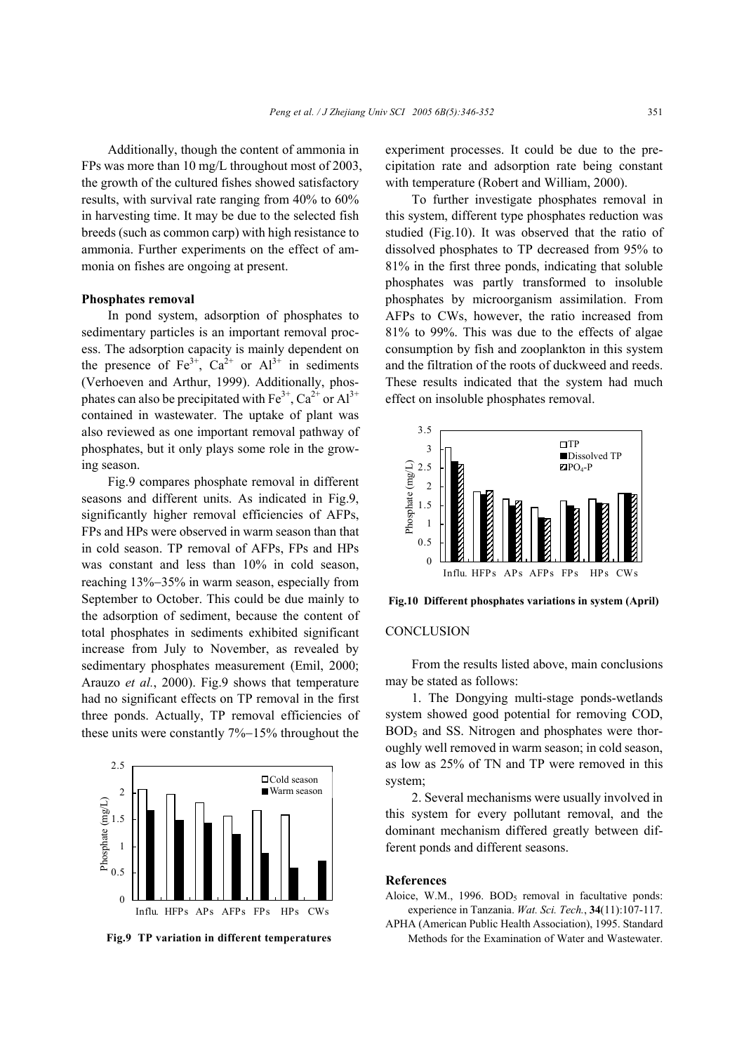Additionally, though the content of ammonia in FPs was more than 10 mg/L throughout most of 2003, the growth of the cultured fishes showed satisfactory results, with survival rate ranging from 40% to 60% in harvesting time. It may be due to the selected fish breeds (such as common carp) with high resistance to ammonia. Further experiments on the effect of ammonia on fishes are ongoing at present.

## **Phosphates removal**

In pond system, adsorption of phosphates to sedimentary particles is an important removal process. The adsorption capacity is mainly dependent on the presence of  $Fe^{3+}$ ,  $Ca^{2+}$  or  $Al^{3+}$  in sediments (Verhoeven and Arthur, 1999). Additionally, phosphates can also be precipitated with  $Fe^{3+}$ ,  $Ca^{2+}$  or  $Al^{3+}$ contained in wastewater. The uptake of plant was also reviewed as one important removal pathway of phosphates, but it only plays some role in the growing season.

Fig.9 compares phosphate removal in different seasons and different units. As indicated in Fig.9, significantly higher removal efficiencies of AFPs, FPs and HPs were observed in warm season than that in cold season. TP removal of AFPs, FPs and HPs was constant and less than 10% in cold season, reaching 13%−35% in warm season, especially from September to October. This could be due mainly to the adsorption of sediment, because the content of total phosphates in sediments exhibited significant increase from July to November, as revealed by sedimentary phosphates measurement (Emil, 2000; Arauzo *et al.*, 2000). Fig.9 shows that temperature had no significant effects on TP removal in the first three ponds. Actually, TP removal efficiencies of these units were constantly 7%−15% throughout the



experiment processes. It could be due to the precipitation rate and adsorption rate being constant with temperature (Robert and William, 2000).

To further investigate phosphates removal in this system, different type phosphates reduction was studied (Fig.10). It was observed that the ratio of dissolved phosphates to TP decreased from 95% to 81% in the first three ponds, indicating that soluble phosphates was partly transformed to insoluble phosphates by microorganism assimilation. From AFPs to CWs, however, the ratio increased from 81% to 99%. This was due to the effects of algae consumption by fish and zooplankton in this system and the filtration of the roots of duckweed and reeds. These results indicated that the system had much effect on insoluble phosphates removal.



**Fig.10 Different phosphates variations in system (April)**

## **CONCLUSION**

From the results listed above, main conclusions may be stated as follows:

1. The Dongying multi-stage ponds-wetlands system showed good potential for removing COD, BOD<sub>5</sub> and SS. Nitrogen and phosphates were thoroughly well removed in warm season; in cold season, as low as 25% of TN and TP were removed in this system;

2. Several mechanisms were usually involved in this system for every pollutant removal, and the dominant mechanism differed greatly between different ponds and different seasons.

## **References**

- Aloice, W.M., 1996.  $BOD<sub>5</sub>$  removal in facultative ponds: experience in Tanzania. *Wat. Sci. Tech.*, **34**(11):107-117.
- APHA (American Public Health Association), 1995. Standard **Fig.9 TP variation in different temperatures** Methods for the Examination of Water and Wastewater.